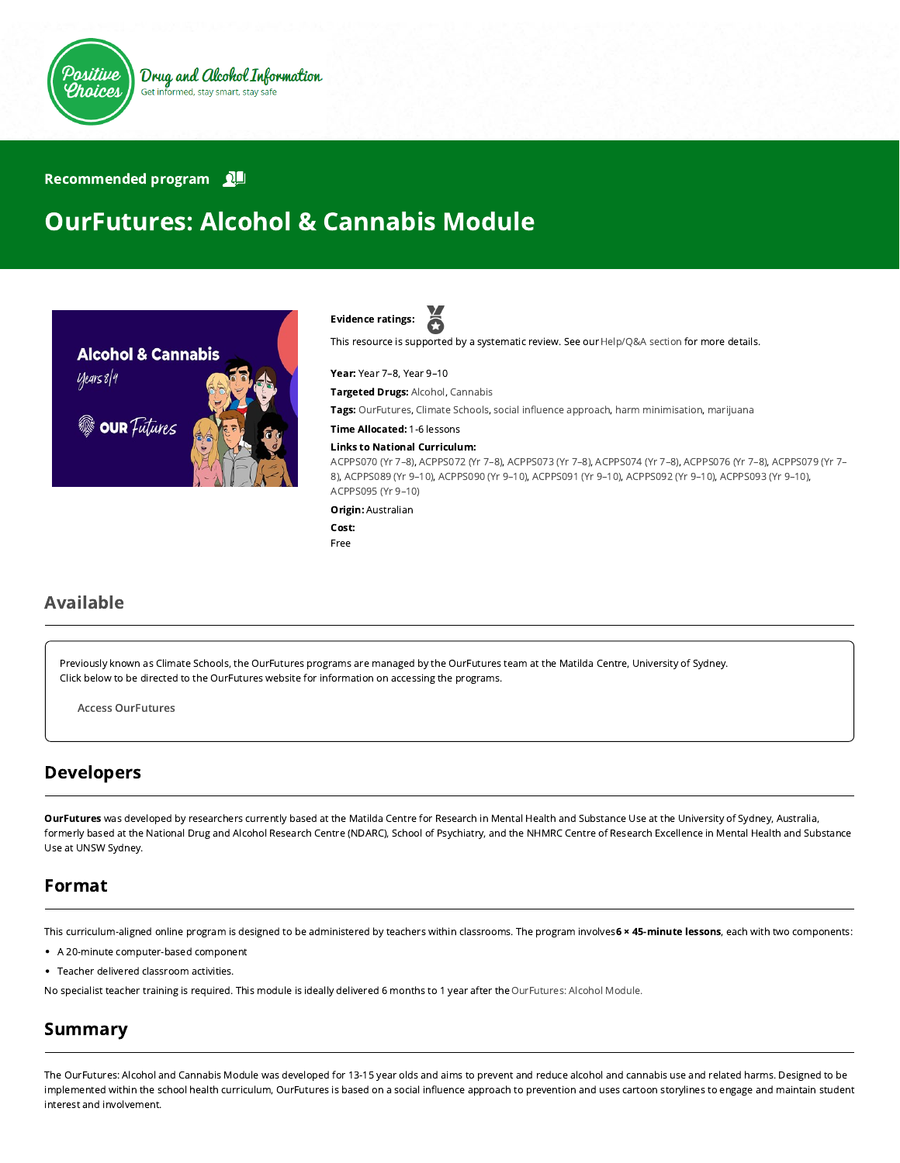

#### Recommended program

# OurFutures: Alcohol & Cannabis Module





This resource is supported by a systematic review. See our [Help/Q&A section](https://positivechoices.org.au/help/questions-and-answers/) for more details.

Year: Year 7–8, Year 9–10

Targeted Drugs: Alcohol, Cannabis

Tags: OurFutures, Climate Schools, social influence approach, harm minimisation, marijuana

Time Allocated: 1-6 lessons

#### Links to National Curriculum:

[ACPPS070 \(Yr 7–8](http://www.australiancurriculum.edu.au/Curriculum/ContentDescription/ACPPS070)[\),](http://www.australiancurriculum.edu.au/Curriculum/ContentDescription/ACPPS079) [ACPPS072 \(Yr 7–8](http://www.australiancurriculum.edu.au/Curriculum/ContentDescription/ACPPS072)[\), A](http://www.australiancurriculum.edu.au/Curriculum/ContentDescription/ACPPS079)[CPPS073 \(Yr 7–8](http://www.australiancurriculum.edu.au/Curriculum/ContentDescription/ACPPS073)[\),](http://www.australiancurriculum.edu.au/Curriculum/ContentDescription/ACPPS079) [ACPPS074 \(Yr 7–8](http://www.australiancurriculum.edu.au/Curriculum/ContentDescription/ACPPS074)[\), A](http://www.australiancurriculum.edu.au/Curriculum/ContentDescription/ACPPS079)[CPPS076 \(Yr 7–8](http://www.australiancurriculum.edu.au/Curriculum/ContentDescription/ACPPS076)[\), ACPPS079 \(Yr 7–](http://www.australiancurriculum.edu.au/Curriculum/ContentDescription/ACPPS079) 8), [ACPPS089 \(Yr 9–10\)](http://www.australiancurriculum.edu.au/Curriculum/ContentDescription/ACPPS089), [ACPPS090 \(Yr 9–10\),](http://www.australiancurriculum.edu.au/Curriculum/ContentDescription/ACPPS090) [ACPPS091 \(Yr 9–10\),](http://www.australiancurriculum.edu.au/Curriculum/ContentDescription/ACPPS091) [ACPPS092 \(Yr 9–10\),](http://www.australiancurriculum.edu.au/Curriculum/ContentDescription/ACPPS092) [ACPPS093 \(Yr 9–10\)](http://www.australiancurriculum.edu.au/Curriculum/ContentDescription/ACPPS093), [ACPPS095 \(Yr 9–10\)](http://www.australiancurriculum.edu.au/Curriculum/ContentDescription/ACPPS095)

#### Origin: Australian

Cost: Free

#### Available

Previously known as Climate Schools, the OurFutures programs are managed by the OurFutures team at the Matilda Centre, University of Sydney. Click below to be directed to the OurFutures website for information on accessing the programs.

Access [OurFutures](https://ourfutures.education/)

#### Developers

OurFutures was developed by researchers currently based at the Matilda Centre for Research in Mental Health and Substance Use at the University of Sydney, Australia, formerly based at the National Drug and Alcohol Research Centre (NDARC), School of Psychiatry, and the NHMRC Centre of Research Excellence in Mental Health and Substance Use at UNSW Sydney.

#### Format

This curriculum-aligned online program is designed to be administered by teachers within classrooms. The program involves 6 x 45-minute lessons, each with two components:

- A 20-minute computer-based component
- Teacher delivered classroom activities.

No specialist teacher training is required. This module is ideally delivered 6 months to 1 year after the [OurFutures: Alcohol Module.](https://positivechoices.org.au/teachers/climate-schools-alcohol-module/)

#### Summary

The OurFutures: Alcohol and Cannabis Module was developed for 13-15 year olds and aims to prevent and reduce alcohol and cannabis use and related harms. Designed to be implemented within the school health curriculum, OurFutures is based on a social influence approach to prevention and uses cartoon storylines to engage and maintain student interest and involvement.